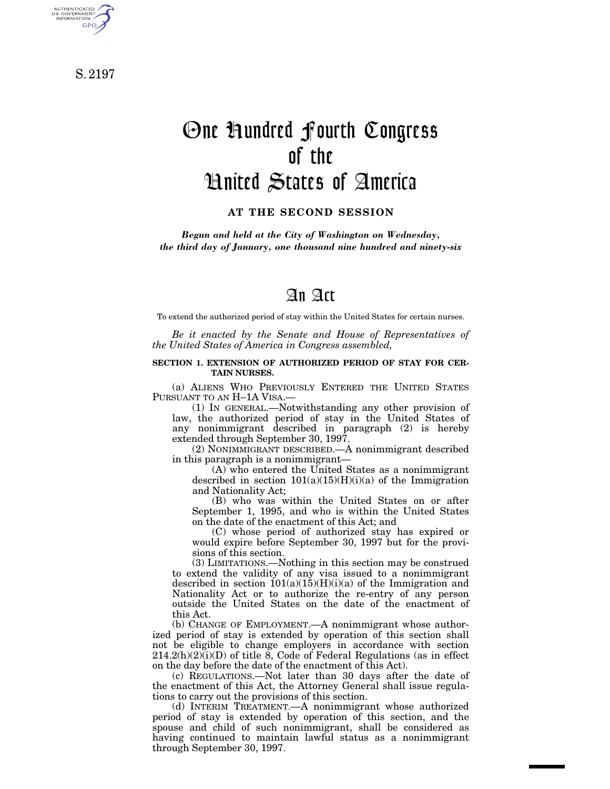S. 2197

AUTHENTICATED<br>U.S. GOVERNMENT<br>INFORMATION **GPO** 

# One Hundred Fourth Congress of the United States of America

**AT THE SECOND SESSION**

*Begun and held at the City of Washington on Wednesday, the third day of January, one thousand nine hundred and ninety-six*

## An Act

To extend the authorized period of stay within the United States for certain nurses.

*Be it enacted by the Senate and House of Representatives of the United States of America in Congress assembled,*

#### **SECTION 1. EXTENSION OF AUTHORIZED PERIOD OF STAY FOR CER-TAIN NURSES.**

(a) ALIENS WHO PREVIOUSLY ENTERED THE UNITED STATES PURSUANT TO AN H–1A VISA.—

(1) IN GENERAL.—Notwithstanding any other provision of law, the authorized period of stay in the United States of any nonimmigrant described in paragraph (2) is hereby extended through September 30, 1997.

(2) NONIMMIGRANT DESCRIBED.—A nonimmigrant described in this paragraph is a nonimmigrant—

(A) who entered the United States as a nonimmigrant described in section  $101(a)(15)(H)(i)(a)$  of the Immigration and Nationality Act;

(B) who was within the United States on or after September 1, 1995, and who is within the United States on the date of the enactment of this Act; and

(C) whose period of authorized stay has expired or would expire before September 30, 1997 but for the provisions of this section.

(3) LIMITATIONS.—Nothing in this section may be construed to extend the validity of any visa issued to a nonimmigrant described in section  $101(a)(15)(H)(i)(a)$  of the Immigration and Nationality Act or to authorize the re-entry of any person outside the United States on the date of the enactment of this Act.

(b) CHANGE OF EMPLOYMENT.—A nonimmigrant whose authorized period of stay is extended by operation of this section shall not be eligible to change employers in accordance with section  $214.2(h)(2)(i)(D)$  of title 8, Code of Federal Regulations (as in effect on the day before the date of the enactment of this Act).

(c) REGULATIONS.—Not later than 30 days after the date of the enactment of this Act, the Attorney General shall issue regulations to carry out the provisions of this section.

(d) INTERIM TREATMENT.—A nonimmigrant whose authorized period of stay is extended by operation of this section, and the spouse and child of such nonimmigrant, shall be considered as having continued to maintain lawful status as a nonimmigrant through September 30, 1997.